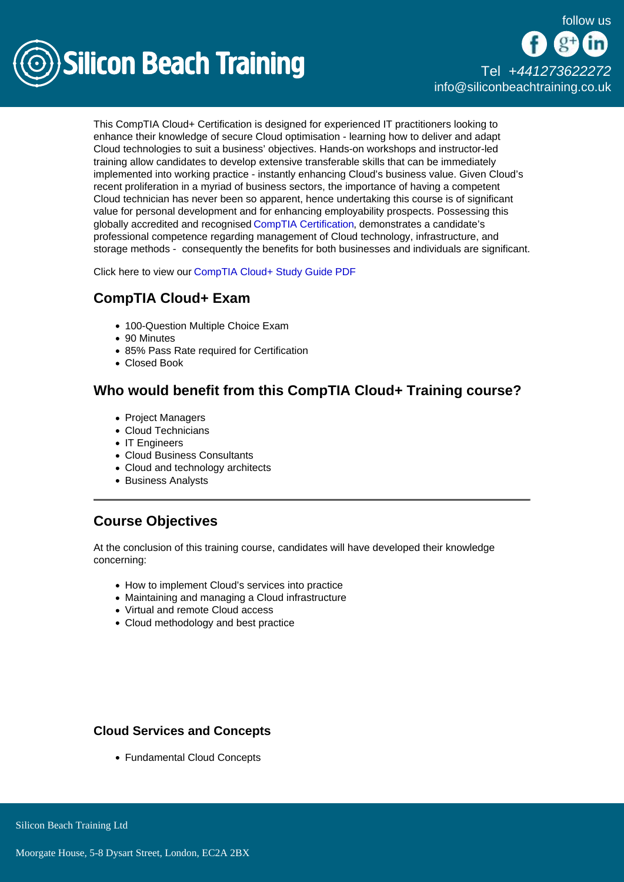

# [Tel +44](tel:+441273622272)1273622272 [info@siliconbeachtraining.co.uk](/var/www/html/siliconbeachtraining.co.uk/public/mailTo:info@siliconbeachtraining.co.uk)

This CompTIA Cloud+ Certification is designed for experienced IT practitioners looking to enhance their knowledge of secure Cloud optimisation - learning how to deliver and adapt Cloud technologies to suit a business' objectives. Hands-on workshops and instructor-led training allow candidates to develop extensive transferable skills that can be immediately implemented into working practice - instantly enhancing Cloud's business value. Given Cloud's recent proliferation in a myriad of business sectors, the importance of having a competent Cloud technician has never been so apparent, hence undertaking this course is of significant value for personal development and for enhancing employability prospects. Possessing this globally accredited and recognised [CompTIA Certification](/comptia-courses), demonstrates a candidate's professional competence regarding management of Cloud technology, infrastructure, and storage methods - consequently the benefits for both businesses and individuals are significant.

Click here to view our [CompTIA Cloud+ Study Guide PDF](/comptia-courses/comptia-cloud-certification/pdf)

# CompTIA Cloud+ Exam

- 100-Question Multiple Choice Exam
- 90 Minutes
- 85% Pass Rate required for Certification
- Closed Book

### Who would benefit from this CompTIA Cloud+ Training course?

- Project Managers
- Cloud Technicians
- IT Engineers
- Cloud Business Consultants
- Cloud and technology architects
- Business Analysts

### Course Objectives

At the conclusion of this training course, candidates will have developed their knowledge concerning:

- How to implement Cloud's services into practice
- Maintaining and managing a Cloud infrastructure
- Virtual and remote Cloud access
- Cloud methodology and best practice

Cloud Services and Concepts

Fundamental Cloud Concepts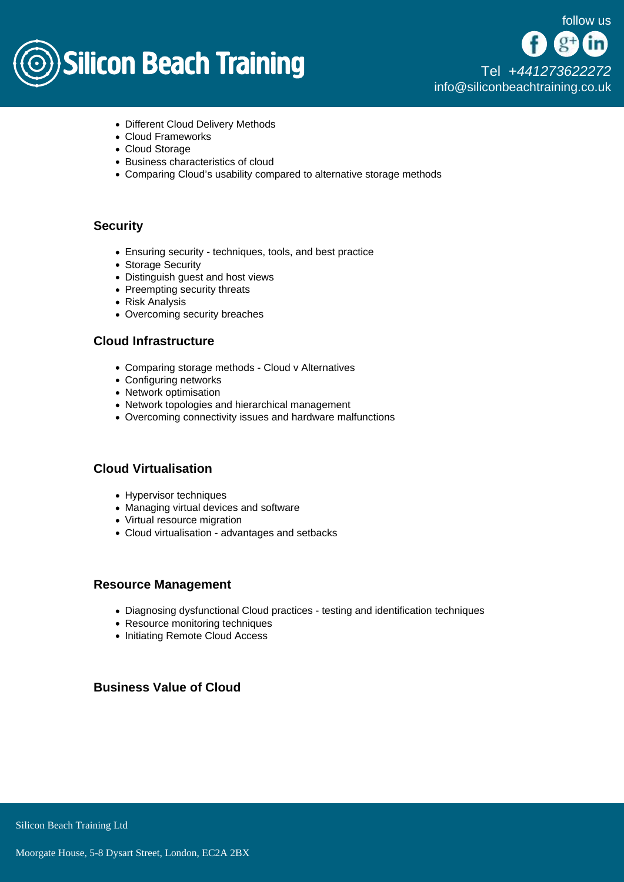

[Tel +44](tel:+441273622272)1273622272 [info@siliconbeachtraining.co.uk](/var/www/html/siliconbeachtraining.co.uk/public/mailTo:info@siliconbeachtraining.co.uk)

- Different Cloud Delivery Methods
- Cloud Frameworks
- Cloud Storage
- Business characteristics of cloud
- Comparing Cloud's usability compared to alternative storage methods

#### **Security**

- Ensuring security techniques, tools, and best practice
- Storage Security
- Distinguish guest and host views
- Preempting security threats
- Risk Analysis
- Overcoming security breaches

#### Cloud Infrastructure

- Comparing storage methods Cloud v Alternatives
- Configuring networks
- Network optimisation
- Network topologies and hierarchical management
- Overcoming connectivity issues and hardware malfunctions

### Cloud Virtualisation

- Hypervisor techniques
- Managing virtual devices and software
- Virtual resource migration
- Cloud virtualisation advantages and setbacks

#### Resource Management

- Diagnosing dysfunctional Cloud practices testing and identification techniques
- Resource monitoring techniques
- Initiating Remote Cloud Access

### Business Value of Cloud